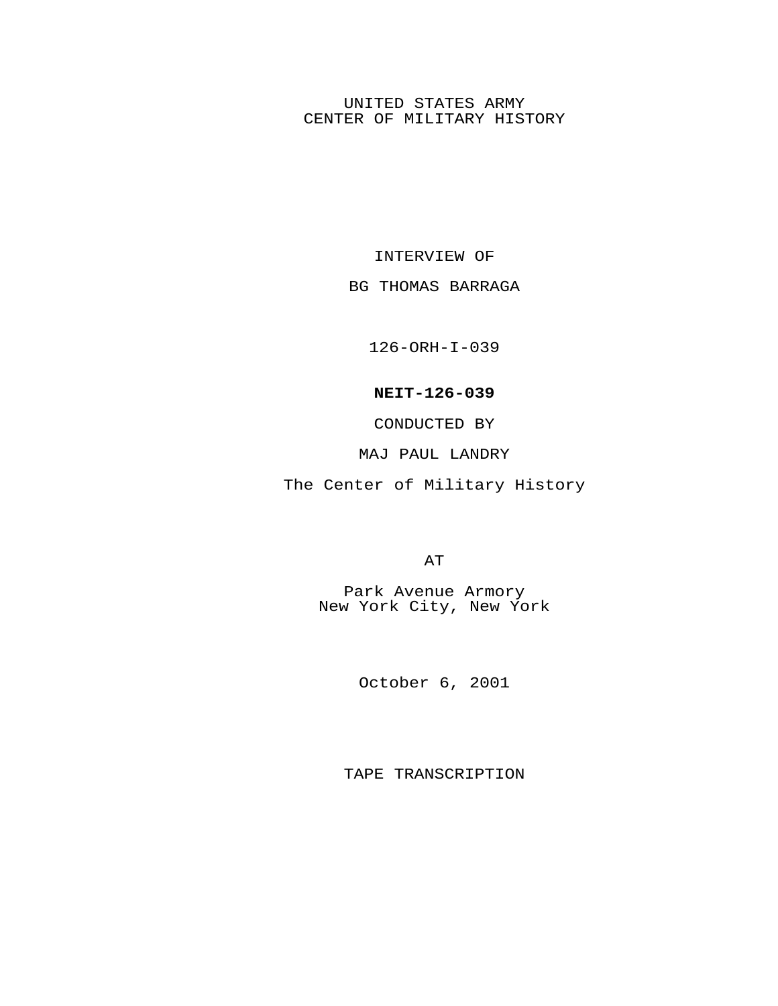## UNITED STATES ARMY CENTER OF MILITARY HISTORY

INTERVIEW OF

## BG THOMAS BARRAGA

126-ORH-I-039

## **NEIT-126-039**

CONDUCTED BY

## MAJ PAUL LANDRY

The Center of Military History

AT

Park Avenue Armory New York City, New York

October 6, 2001

TAPE TRANSCRIPTION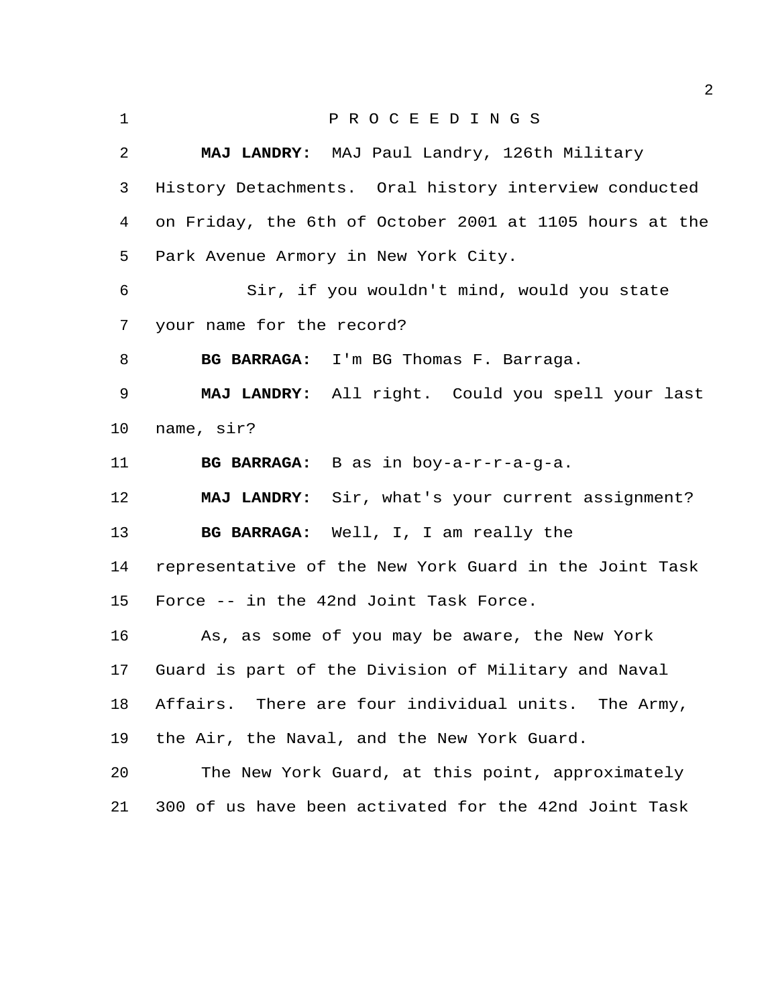P R O C E E D I N G S **MAJ LANDRY:** MAJ Paul Landry, 126th Military History Detachments. Oral history interview conducted on Friday, the 6th of October 2001 at 1105 hours at the Park Avenue Armory in New York City. Sir, if you wouldn't mind, would you state your name for the record? **BG BARRAGA:** I'm BG Thomas F. Barraga. **MAJ LANDRY:** All right. Could you spell your last name, sir? **BG BARRAGA:** B as in boy-a-r-r-a-g-a. **MAJ LANDRY:** Sir, what's your current assignment? **BG BARRAGA:** Well, I, I am really the representative of the New York Guard in the Joint Task Force -- in the 42nd Joint Task Force. As, as some of you may be aware, the New York Guard is part of the Division of Military and Naval Affairs. There are four individual units. The Army, the Air, the Naval, and the New York Guard. The New York Guard, at this point, approximately 300 of us have been activated for the 42nd Joint Task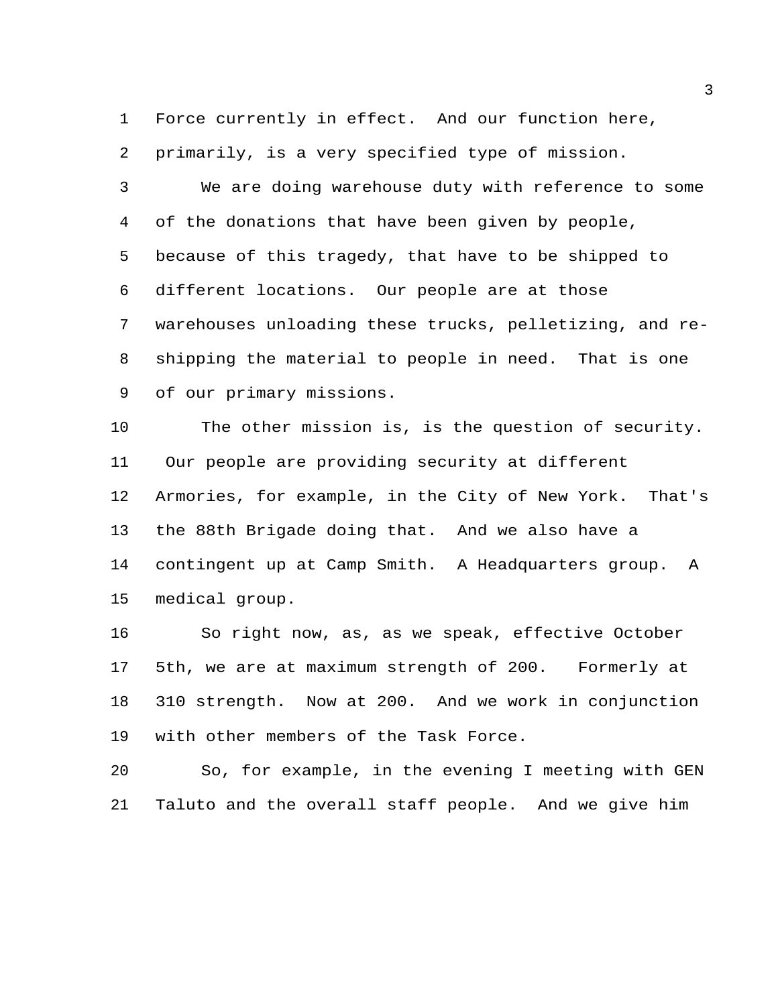Force currently in effect. And our function here, primarily, is a very specified type of mission.

 We are doing warehouse duty with reference to some of the donations that have been given by people, because of this tragedy, that have to be shipped to different locations. Our people are at those warehouses unloading these trucks, pelletizing, and re- shipping the material to people in need. That is one of our primary missions.

 The other mission is, is the question of security. Our people are providing security at different Armories, for example, in the City of New York. That's the 88th Brigade doing that. And we also have a contingent up at Camp Smith. A Headquarters group. A medical group.

 So right now, as, as we speak, effective October 5th, we are at maximum strength of 200. Formerly at 310 strength. Now at 200. And we work in conjunction with other members of the Task Force.

 So, for example, in the evening I meeting with GEN Taluto and the overall staff people. And we give him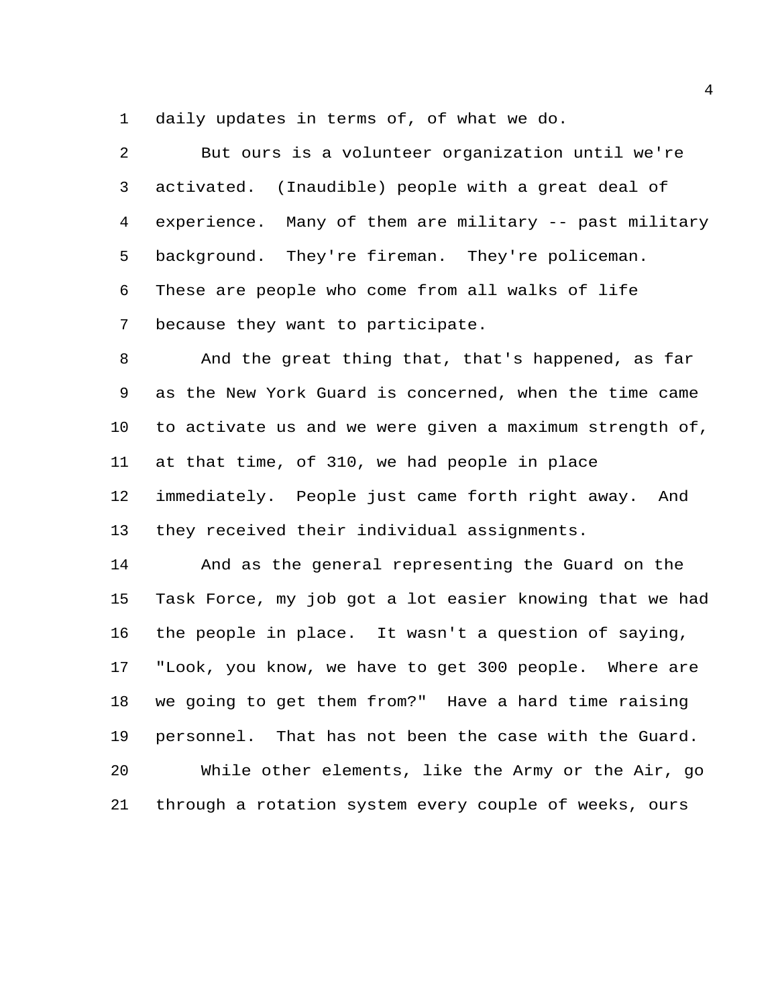daily updates in terms of, of what we do.

 But ours is a volunteer organization until we're activated. (Inaudible) people with a great deal of experience. Many of them are military -- past military background. They're fireman. They're policeman. These are people who come from all walks of life because they want to participate.

 And the great thing that, that's happened, as far as the New York Guard is concerned, when the time came to activate us and we were given a maximum strength of, at that time, of 310, we had people in place immediately. People just came forth right away. And they received their individual assignments.

 And as the general representing the Guard on the Task Force, my job got a lot easier knowing that we had the people in place. It wasn't a question of saying, "Look, you know, we have to get 300 people. Where are we going to get them from?" Have a hard time raising personnel. That has not been the case with the Guard. While other elements, like the Army or the Air, go through a rotation system every couple of weeks, ours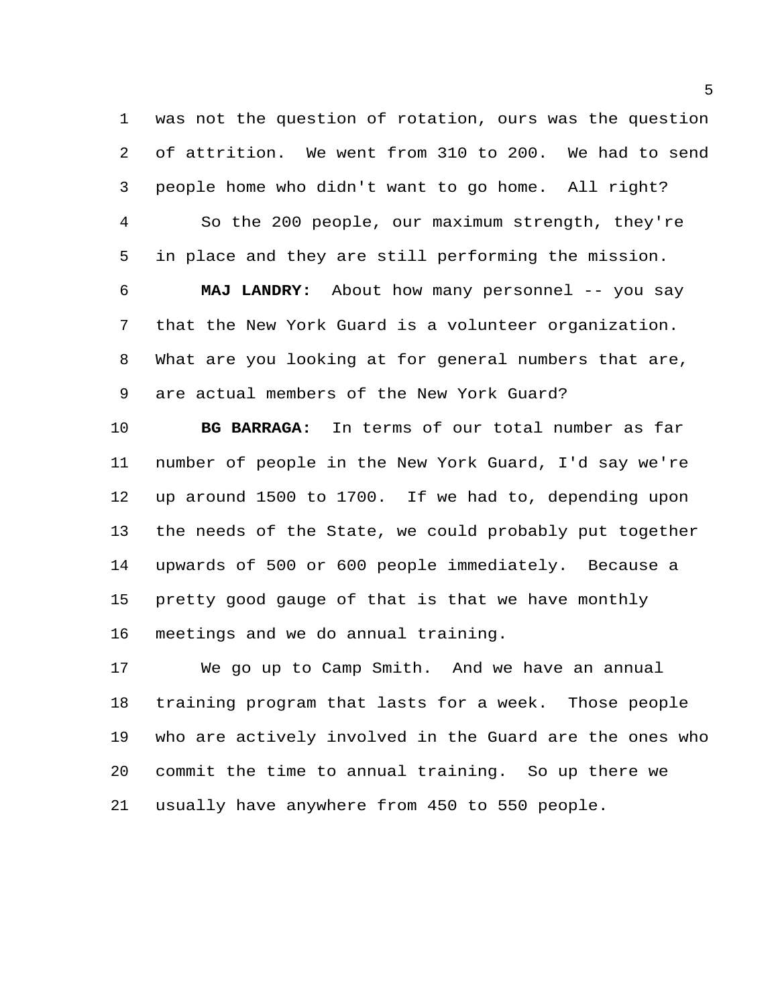was not the question of rotation, ours was the question of attrition. We went from 310 to 200. We had to send people home who didn't want to go home. All right?

 So the 200 people, our maximum strength, they're in place and they are still performing the mission.

 **MAJ LANDRY:** About how many personnel -- you say that the New York Guard is a volunteer organization. What are you looking at for general numbers that are, are actual members of the New York Guard?

 **BG BARRAGA:** In terms of our total number as far number of people in the New York Guard, I'd say we're up around 1500 to 1700. If we had to, depending upon the needs of the State, we could probably put together upwards of 500 or 600 people immediately. Because a pretty good gauge of that is that we have monthly meetings and we do annual training.

 We go up to Camp Smith. And we have an annual training program that lasts for a week. Those people who are actively involved in the Guard are the ones who commit the time to annual training. So up there we usually have anywhere from 450 to 550 people.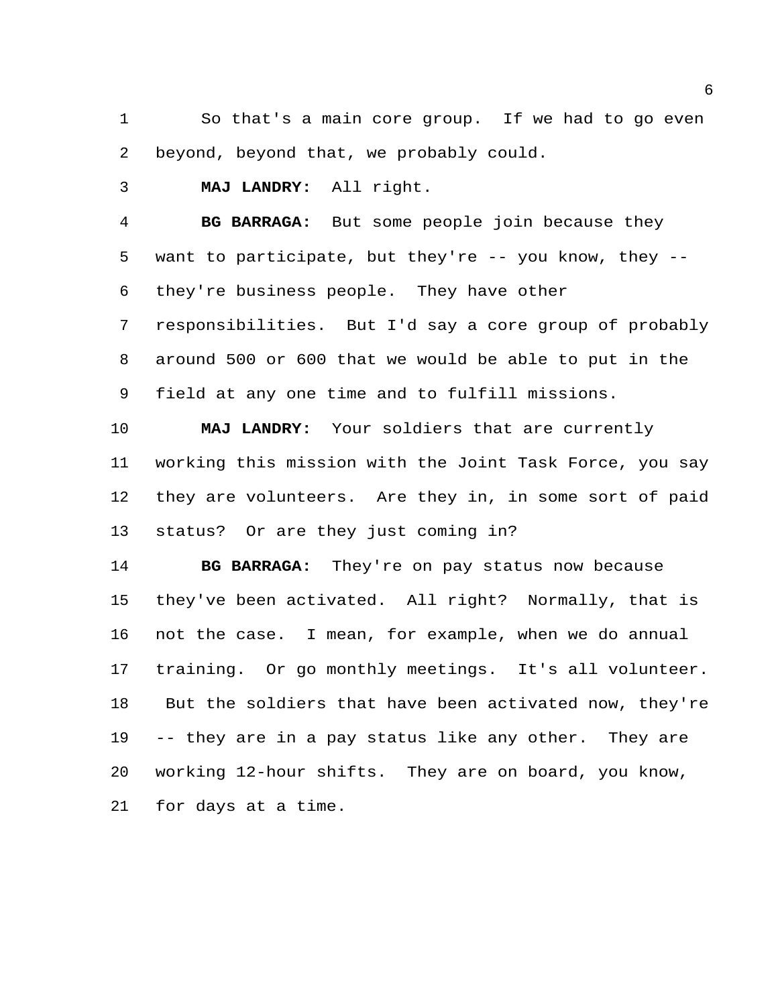So that's a main core group. If we had to go even beyond, beyond that, we probably could.

**MAJ LANDRY:** All right.

 **BG BARRAGA:** But some people join because they want to participate, but they're -- you know, they -- they're business people. They have other responsibilities. But I'd say a core group of probably around 500 or 600 that we would be able to put in the

field at any one time and to fulfill missions.

 **MAJ LANDRY:** Your soldiers that are currently working this mission with the Joint Task Force, you say they are volunteers. Are they in, in some sort of paid status? Or are they just coming in?

 **BG BARRAGA:** They're on pay status now because they've been activated. All right? Normally, that is not the case. I mean, for example, when we do annual training. Or go monthly meetings. It's all volunteer. But the soldiers that have been activated now, they're -- they are in a pay status like any other. They are working 12-hour shifts. They are on board, you know, for days at a time.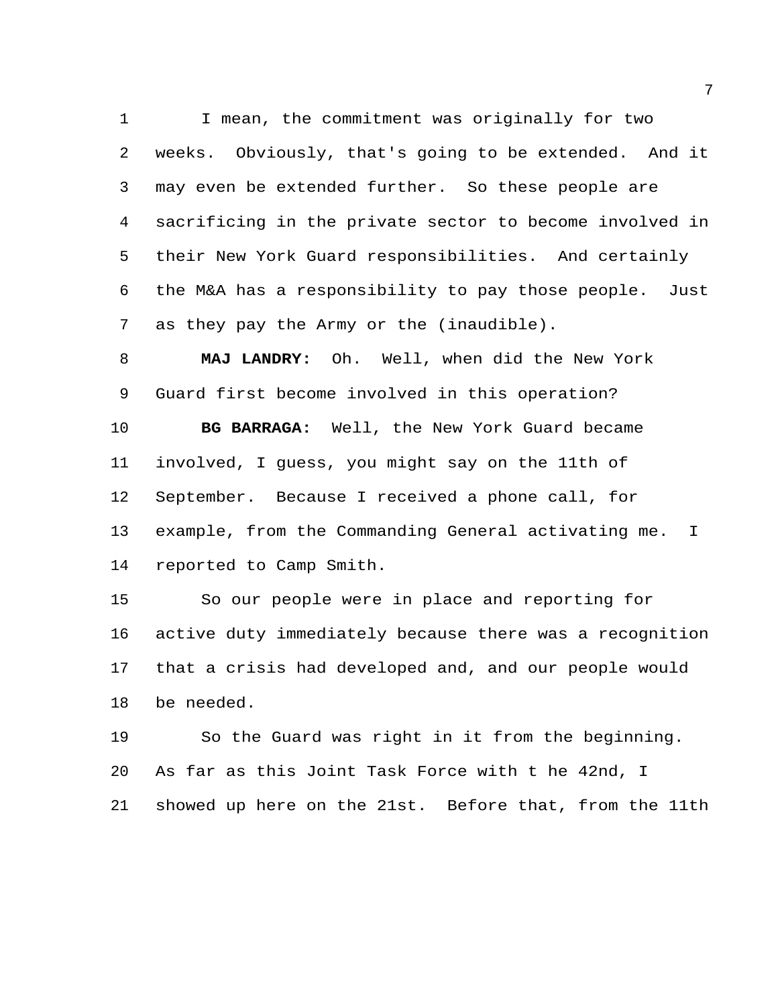I mean, the commitment was originally for two weeks. Obviously, that's going to be extended. And it may even be extended further. So these people are sacrificing in the private sector to become involved in their New York Guard responsibilities. And certainly the M&A has a responsibility to pay those people. Just as they pay the Army or the (inaudible).

 **MAJ LANDRY:** Oh. Well, when did the New York Guard first become involved in this operation?

 **BG BARRAGA:** Well, the New York Guard became involved, I guess, you might say on the 11th of September. Because I received a phone call, for example, from the Commanding General activating me. I reported to Camp Smith.

 So our people were in place and reporting for active duty immediately because there was a recognition that a crisis had developed and, and our people would be needed.

 So the Guard was right in it from the beginning. As far as this Joint Task Force with t he 42nd, I showed up here on the 21st. Before that, from the 11th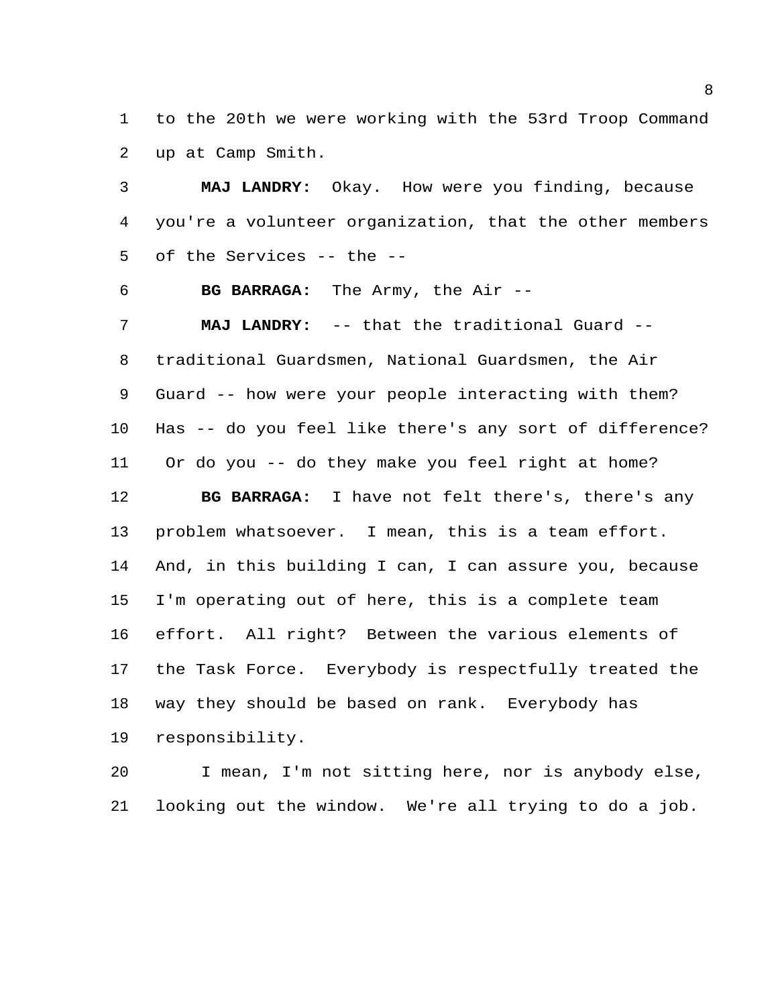to the 20th we were working with the 53rd Troop Command up at Camp Smith.

 **MAJ LANDRY:** Okay. How were you finding, because you're a volunteer organization, that the other members of the Services -- the --

**BG BARRAGA:** The Army, the Air --

 **MAJ LANDRY:** -- that the traditional Guard -- traditional Guardsmen, National Guardsmen, the Air Guard -- how were your people interacting with them? Has -- do you feel like there's any sort of difference? Or do you -- do they make you feel right at home? **BG BARRAGA:** I have not felt there's, there's any problem whatsoever. I mean, this is a team effort. And, in this building I can, I can assure you, because I'm operating out of here, this is a complete team effort. All right? Between the various elements of the Task Force. Everybody is respectfully treated the way they should be based on rank. Everybody has responsibility.

 I mean, I'm not sitting here, nor is anybody else, looking out the window. We're all trying to do a job.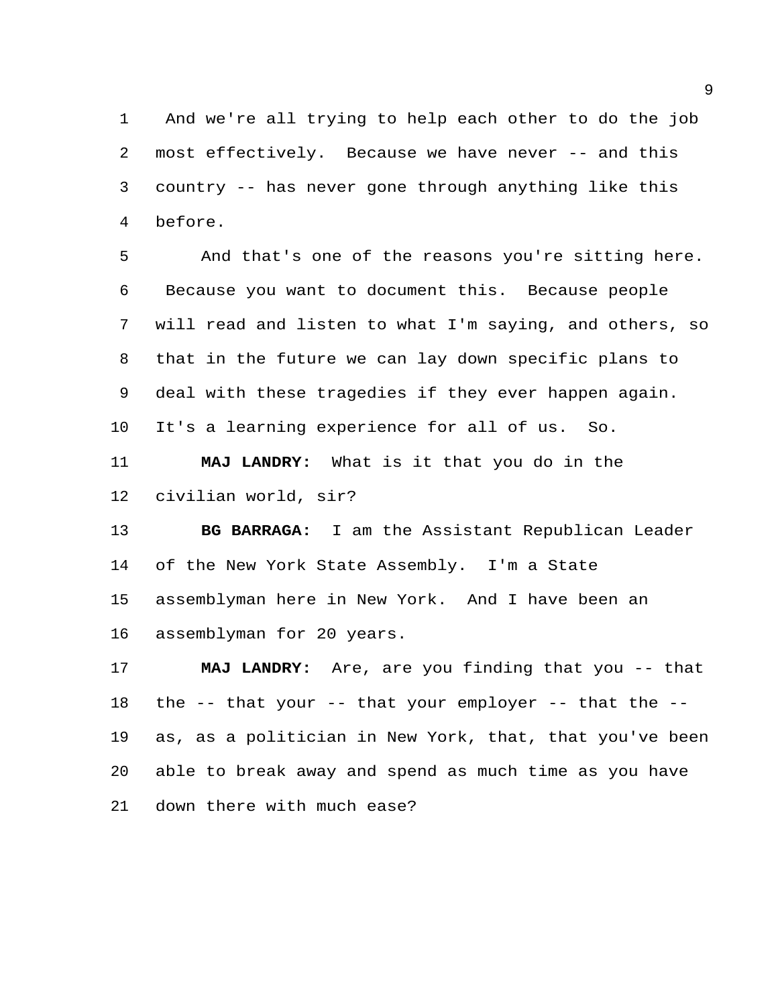And we're all trying to help each other to do the job most effectively. Because we have never -- and this country -- has never gone through anything like this before.

 And that's one of the reasons you're sitting here. Because you want to document this. Because people will read and listen to what I'm saying, and others, so that in the future we can lay down specific plans to deal with these tragedies if they ever happen again. It's a learning experience for all of us. So.

 **MAJ LANDRY:** What is it that you do in the civilian world, sir?

 **BG BARRAGA:** I am the Assistant Republican Leader of the New York State Assembly. I'm a State assemblyman here in New York. And I have been an assemblyman for 20 years.

 **MAJ LANDRY:** Are, are you finding that you -- that the -- that your -- that your employer -- that the -- as, as a politician in New York, that, that you've been able to break away and spend as much time as you have down there with much ease?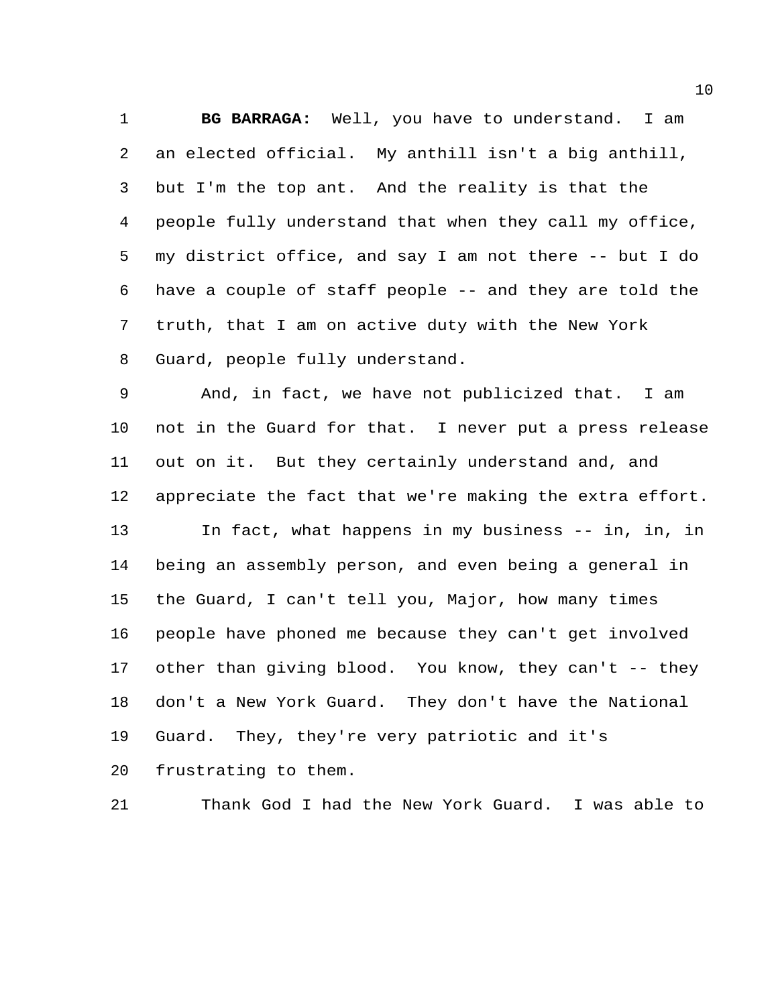**BG BARRAGA:** Well, you have to understand. I am an elected official. My anthill isn't a big anthill, but I'm the top ant. And the reality is that the people fully understand that when they call my office, my district office, and say I am not there -- but I do have a couple of staff people -- and they are told the truth, that I am on active duty with the New York Guard, people fully understand.

 And, in fact, we have not publicized that. I am not in the Guard for that. I never put a press release out on it. But they certainly understand and, and appreciate the fact that we're making the extra effort. In fact, what happens in my business -- in, in, in being an assembly person, and even being a general in the Guard, I can't tell you, Major, how many times people have phoned me because they can't get involved other than giving blood. You know, they can't -- they don't a New York Guard. They don't have the National Guard. They, they're very patriotic and it's frustrating to them.

Thank God I had the New York Guard. I was able to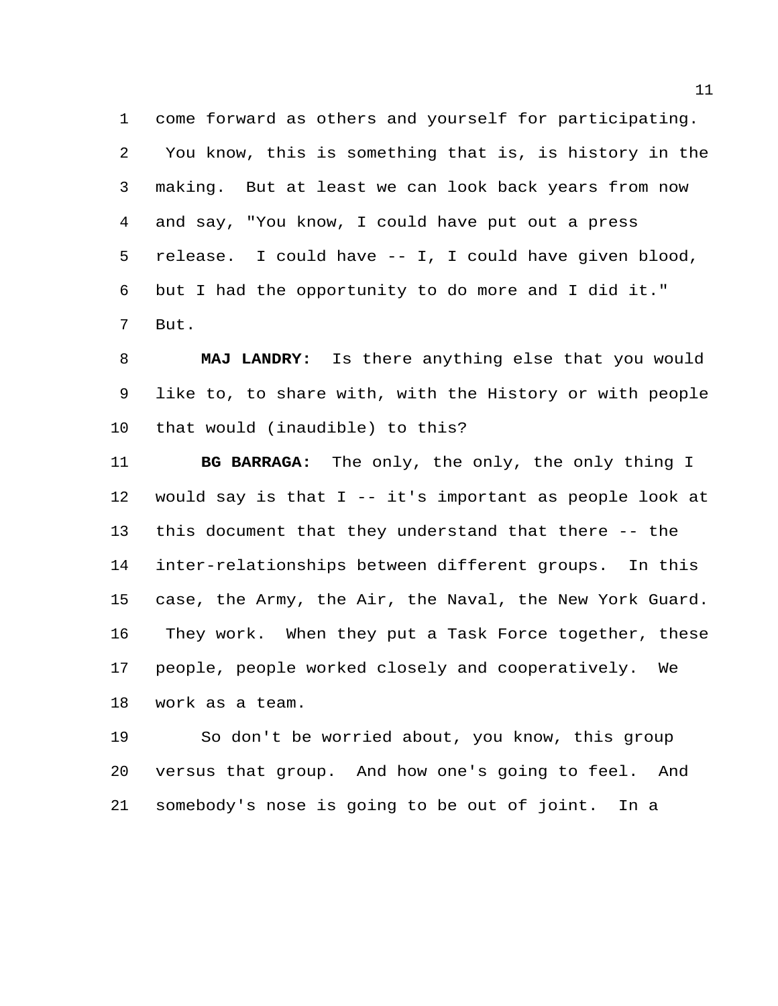come forward as others and yourself for participating. You know, this is something that is, is history in the making. But at least we can look back years from now and say, "You know, I could have put out a press release. I could have -- I, I could have given blood, but I had the opportunity to do more and I did it." But.

 **MAJ LANDRY:** Is there anything else that you would like to, to share with, with the History or with people that would (inaudible) to this?

 **BG BARRAGA:** The only, the only, the only thing I would say is that I -- it's important as people look at this document that they understand that there -- the inter-relationships between different groups. In this case, the Army, the Air, the Naval, the New York Guard. They work. When they put a Task Force together, these people, people worked closely and cooperatively. We work as a team.

 So don't be worried about, you know, this group versus that group. And how one's going to feel. And somebody's nose is going to be out of joint. In a